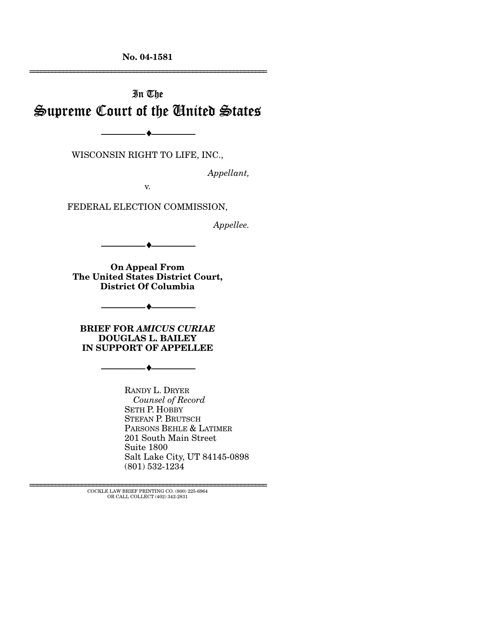**No. 04-1581** 

# In The Supreme Court of the United States

--------------------------------- ♦ ---------------------------------

WISCONSIN RIGHT TO LIFE, INC.,

*Appellant,* 

================================================================

v.

FEDERAL ELECTION COMMISSION,

*Appellee.* 

**On Appeal From** 

--------------------------------- ♦ ---------------------------------

**The United States District Court, District Of Columbia** 

--------------------------------- ♦ ---------------------------------

**BRIEF FOR** *AMICUS CURIAE* **DOUGLAS L. BAILEY IN SUPPORT OF APPELLEE** 

 $- \bullet -$ 

RANDY L. DRYER *Counsel of Record*  SETH P. HOBBY STEFAN P. BRUTSCH PARSONS BEHLE & LATIMER 201 South Main Street Suite 1800 Salt Lake City, UT 84145-0898 (801) 532-1234

================================================================ COCKLE LAW BRIEF PRINTING CO. (800) 225-6964 OR CALL COLLECT (402) 342-2831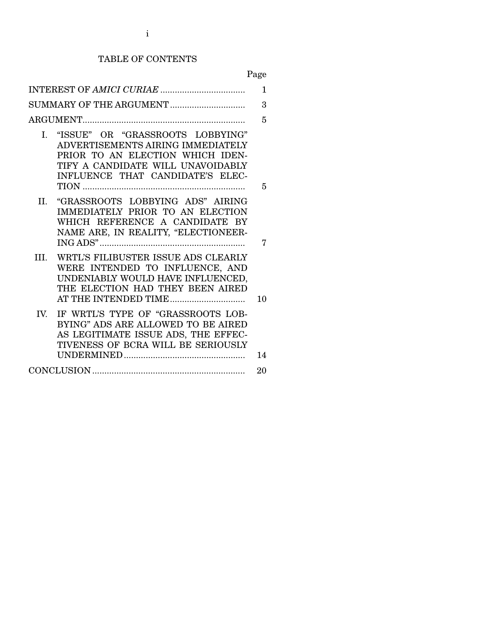# TABLE OF CONTENTS

Page

|      |                                                                                                                                                                                    | 3  |
|------|------------------------------------------------------------------------------------------------------------------------------------------------------------------------------------|----|
|      |                                                                                                                                                                                    | 5  |
| I.   | "ISSUE" OR "GRASSROOTS LOBBYING"<br>ADVERTISEMENTS AIRING IMMEDIATELY<br>PRIOR TO AN ELECTION WHICH IDEN-<br>TIFY A CANDIDATE WILL UNAVOIDABLY<br>INFLUENCE THAT CANDIDATE'S ELEC- | 5  |
| Н.   | "GRASSROOTS LOBBYING ADS" AIRING<br>IMMEDIATELY PRIOR TO AN ELECTION<br>WHICH REFERENCE A CANDIDATE BY<br>NAME ARE, IN REALITY, "ELECTIONEER-                                      | 7  |
| III. | WRTL'S FILIBUSTER ISSUE ADS CLEARLY<br>WERE INTENDED TO INFLUENCE, AND<br>UNDENIABLY WOULD HAVE INFLUENCED,<br>THE ELECTION HAD THEY BEEN AIRED<br>AT THE INTENDED TIME            | 10 |
| IV.  | IF WRTL'S TYPE OF "GRASSROOTS LOB-<br>BYING" ADS ARE ALLOWED TO BE AIRED<br>AS LEGITIMATE ISSUE ADS, THE EFFEC-<br>TIVENESS OF BCRA WILL BE SERIOUSLY                              | 14 |
|      |                                                                                                                                                                                    |    |
|      |                                                                                                                                                                                    |    |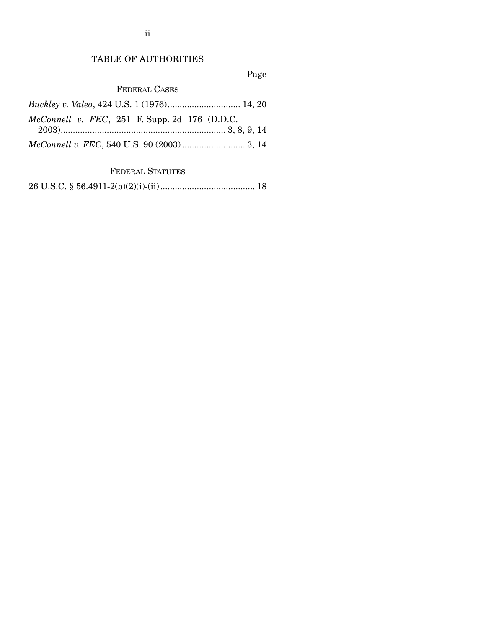## TABLE OF AUTHORITIES

Page

FEDERAL CASES

| Buckley v. Valeo, 424 U.S. 1 (1976) 14, 20      |  |
|-------------------------------------------------|--|
| $McConnell$ v. FEC, 251 F. Supp. 2d 176 (D.D.C. |  |
|                                                 |  |
|                                                 |  |

FEDERAL STATUTES

26 U.S.C. § 56.4911-2(b)(2)(i)-(ii)....................................... 18

ii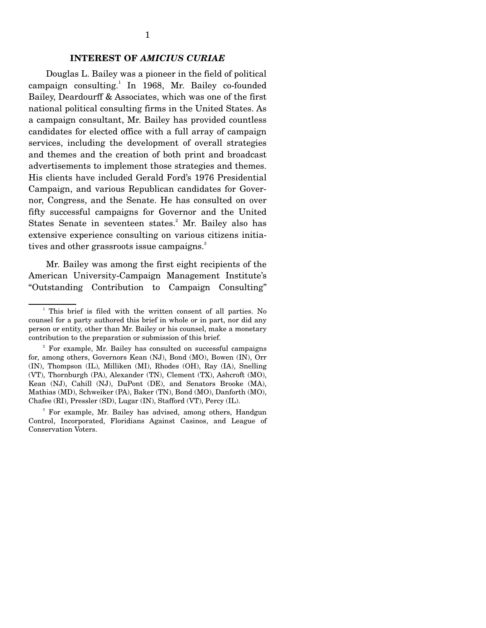#### **INTEREST OF** *AMICIUS CURIAE*

 Douglas L. Bailey was a pioneer in the field of political campaign consulting.<sup>1</sup> In 1968, Mr. Bailey co-founded Bailey, Deardourff & Associates, which was one of the first national political consulting firms in the United States. As a campaign consultant, Mr. Bailey has provided countless candidates for elected office with a full array of campaign services, including the development of overall strategies and themes and the creation of both print and broadcast advertisements to implement those strategies and themes. His clients have included Gerald Ford's 1976 Presidential Campaign, and various Republican candidates for Governor, Congress, and the Senate. He has consulted on over fifty successful campaigns for Governor and the United States Senate in seventeen states.<sup>2</sup> Mr. Bailey also has extensive experience consulting on various citizens initiatives and other grassroots issue campaigns. $3$ 

 Mr. Bailey was among the first eight recipients of the American University-Campaign Management Institute's "Outstanding Contribution to Campaign Consulting"

<sup>&</sup>lt;sup>1</sup> This brief is filed with the written consent of all parties. No counsel for a party authored this brief in whole or in part, nor did any person or entity, other than Mr. Bailey or his counsel, make a monetary contribution to the preparation or submission of this brief.

<sup>2</sup> For example, Mr. Bailey has consulted on successful campaigns for, among others, Governors Kean (NJ), Bond (MO), Bowen (IN), Orr (IN), Thompson (IL), Milliken (MI), Rhodes (OH), Ray (IA), Snelling (VT), Thornburgh (PA), Alexander (TN), Clement (TX), Ashcroft (MO), Kean (NJ), Cahill (NJ), DuPont (DE), and Senators Brooke (MA), Mathias (MD), Schweiker (PA), Baker (TN), Bond (MO), Danforth (MO), Chafee (RI), Pressler (SD), Lugar (IN), Stafford (VT), Percy (IL).

<sup>&</sup>lt;sup>3</sup> For example, Mr. Bailey has advised, among others, Handgun Control, Incorporated, Floridians Against Casinos, and League of Conservation Voters.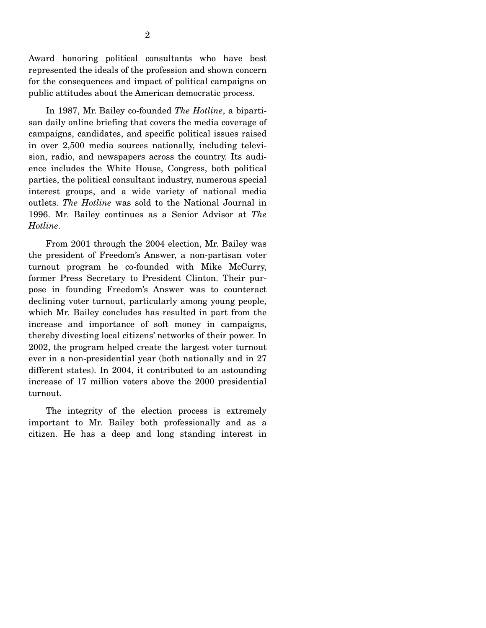Award honoring political consultants who have best represented the ideals of the profession and shown concern for the consequences and impact of political campaigns on public attitudes about the American democratic process.

 In 1987, Mr. Bailey co-founded *The Hotline*, a bipartisan daily online briefing that covers the media coverage of campaigns, candidates, and specific political issues raised in over 2,500 media sources nationally, including television, radio, and newspapers across the country. Its audience includes the White House, Congress, both political parties, the political consultant industry, numerous special interest groups, and a wide variety of national media outlets. *The Hotline* was sold to the National Journal in 1996. Mr. Bailey continues as a Senior Advisor at *The Hotline*.

 From 2001 through the 2004 election, Mr. Bailey was the president of Freedom's Answer, a non-partisan voter turnout program he co-founded with Mike McCurry, former Press Secretary to President Clinton. Their purpose in founding Freedom's Answer was to counteract declining voter turnout, particularly among young people, which Mr. Bailey concludes has resulted in part from the increase and importance of soft money in campaigns, thereby divesting local citizens' networks of their power. In 2002, the program helped create the largest voter turnout ever in a non-presidential year (both nationally and in 27 different states). In 2004, it contributed to an astounding increase of 17 million voters above the 2000 presidential turnout.

 The integrity of the election process is extremely important to Mr. Bailey both professionally and as a citizen. He has a deep and long standing interest in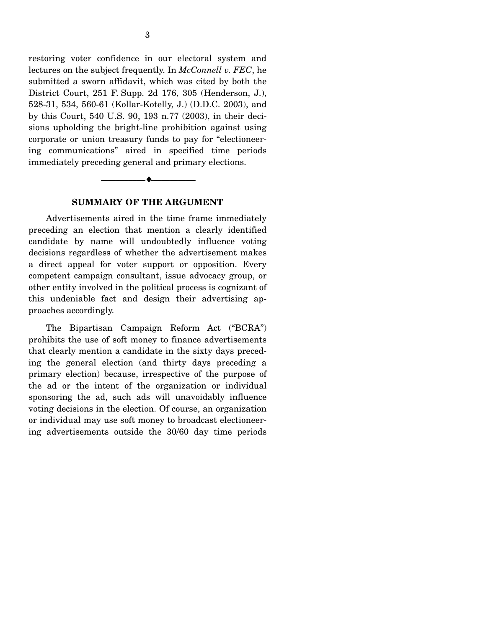restoring voter confidence in our electoral system and lectures on the subject frequently. In *McConnell v. FEC*, he submitted a sworn affidavit, which was cited by both the District Court, 251 F. Supp. 2d 176, 305 (Henderson, J.), 528-31, 534, 560-61 (Kollar-Kotelly, J.) (D.D.C. 2003), and by this Court, 540 U.S. 90, 193 n.77 (2003), in their decisions upholding the bright-line prohibition against using corporate or union treasury funds to pay for "electioneering communications" aired in specified time periods immediately preceding general and primary elections.

#### **SUMMARY OF THE ARGUMENT**

 $\bullet$  —

 Advertisements aired in the time frame immediately preceding an election that mention a clearly identified candidate by name will undoubtedly influence voting decisions regardless of whether the advertisement makes a direct appeal for voter support or opposition. Every competent campaign consultant, issue advocacy group, or other entity involved in the political process is cognizant of this undeniable fact and design their advertising approaches accordingly.

 The Bipartisan Campaign Reform Act ("BCRA") prohibits the use of soft money to finance advertisements that clearly mention a candidate in the sixty days preceding the general election (and thirty days preceding a primary election) because, irrespective of the purpose of the ad or the intent of the organization or individual sponsoring the ad, such ads will unavoidably influence voting decisions in the election. Of course, an organization or individual may use soft money to broadcast electioneering advertisements outside the 30/60 day time periods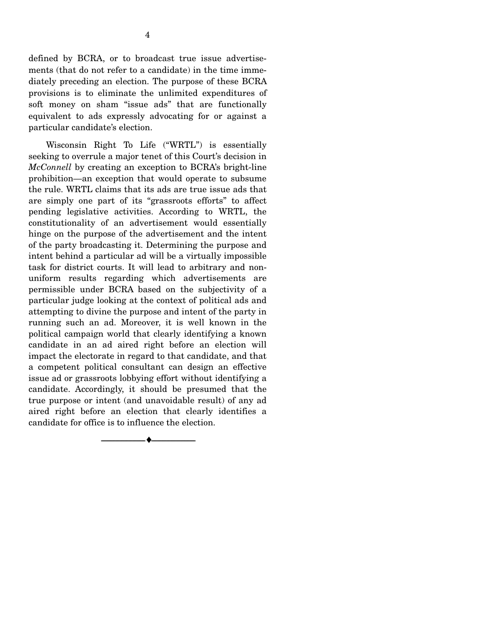defined by BCRA, or to broadcast true issue advertisements (that do not refer to a candidate) in the time immediately preceding an election. The purpose of these BCRA provisions is to eliminate the unlimited expenditures of soft money on sham "issue ads" that are functionally equivalent to ads expressly advocating for or against a particular candidate's election.

 Wisconsin Right To Life ("WRTL") is essentially seeking to overrule a major tenet of this Court's decision in *McConnell* by creating an exception to BCRA's bright-line prohibition—an exception that would operate to subsume the rule. WRTL claims that its ads are true issue ads that are simply one part of its "grassroots efforts" to affect pending legislative activities. According to WRTL, the constitutionality of an advertisement would essentially hinge on the purpose of the advertisement and the intent of the party broadcasting it. Determining the purpose and intent behind a particular ad will be a virtually impossible task for district courts. It will lead to arbitrary and nonuniform results regarding which advertisements are permissible under BCRA based on the subjectivity of a particular judge looking at the context of political ads and attempting to divine the purpose and intent of the party in running such an ad. Moreover, it is well known in the political campaign world that clearly identifying a known candidate in an ad aired right before an election will impact the electorate in regard to that candidate, and that a competent political consultant can design an effective issue ad or grassroots lobbying effort without identifying a candidate. Accordingly, it should be presumed that the true purpose or intent (and unavoidable result) of any ad aired right before an election that clearly identifies a candidate for office is to influence the election.

--------------------------------- ♦ ---------------------------------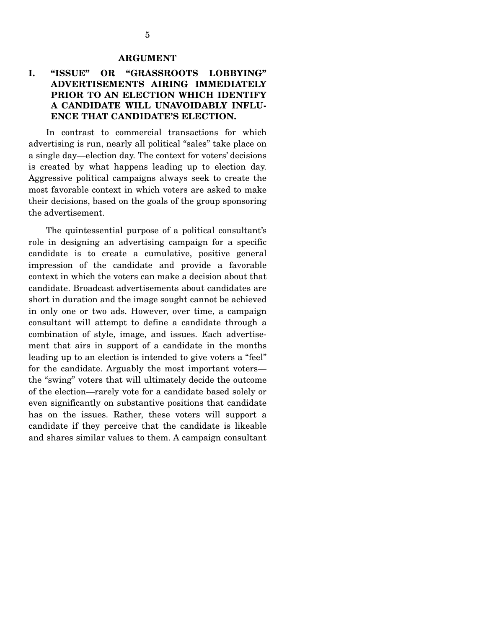#### **ARGUMENT**

#### **I. "ISSUE" OR "GRASSROOTS LOBBYING" ADVERTISEMENTS AIRING IMMEDIATELY PRIOR TO AN ELECTION WHICH IDENTIFY A CANDIDATE WILL UNAVOIDABLY INFLU-ENCE THAT CANDIDATE'S ELECTION.**

 In contrast to commercial transactions for which advertising is run, nearly all political "sales" take place on a single day—election day. The context for voters' decisions is created by what happens leading up to election day. Aggressive political campaigns always seek to create the most favorable context in which voters are asked to make their decisions, based on the goals of the group sponsoring the advertisement.

 The quintessential purpose of a political consultant's role in designing an advertising campaign for a specific candidate is to create a cumulative, positive general impression of the candidate and provide a favorable context in which the voters can make a decision about that candidate. Broadcast advertisements about candidates are short in duration and the image sought cannot be achieved in only one or two ads. However, over time, a campaign consultant will attempt to define a candidate through a combination of style, image, and issues. Each advertisement that airs in support of a candidate in the months leading up to an election is intended to give voters a "feel" for the candidate. Arguably the most important voters the "swing" voters that will ultimately decide the outcome of the election—rarely vote for a candidate based solely or even significantly on substantive positions that candidate has on the issues. Rather, these voters will support a candidate if they perceive that the candidate is likeable and shares similar values to them. A campaign consultant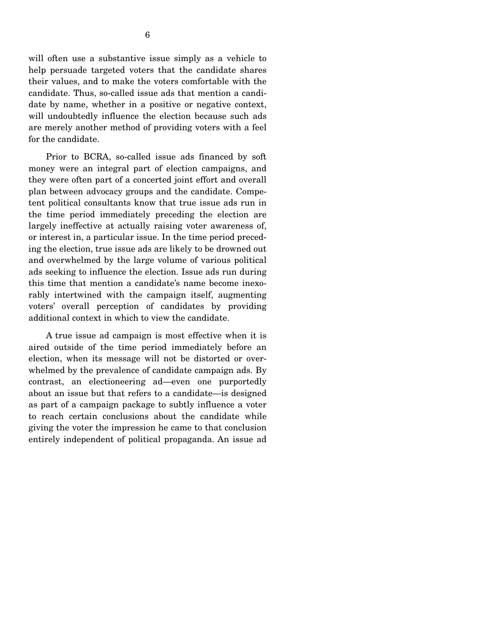will often use a substantive issue simply as a vehicle to help persuade targeted voters that the candidate shares their values, and to make the voters comfortable with the candidate. Thus, so-called issue ads that mention a candidate by name, whether in a positive or negative context, will undoubtedly influence the election because such ads are merely another method of providing voters with a feel for the candidate.

 Prior to BCRA, so-called issue ads financed by soft money were an integral part of election campaigns, and they were often part of a concerted joint effort and overall plan between advocacy groups and the candidate. Competent political consultants know that true issue ads run in the time period immediately preceding the election are largely ineffective at actually raising voter awareness of, or interest in, a particular issue. In the time period preceding the election, true issue ads are likely to be drowned out and overwhelmed by the large volume of various political ads seeking to influence the election. Issue ads run during this time that mention a candidate's name become inexorably intertwined with the campaign itself, augmenting voters' overall perception of candidates by providing additional context in which to view the candidate.

 A true issue ad campaign is most effective when it is aired outside of the time period immediately before an election, when its message will not be distorted or overwhelmed by the prevalence of candidate campaign ads. By contrast, an electioneering ad—even one purportedly about an issue but that refers to a candidate—is designed as part of a campaign package to subtly influence a voter to reach certain conclusions about the candidate while giving the voter the impression he came to that conclusion entirely independent of political propaganda. An issue ad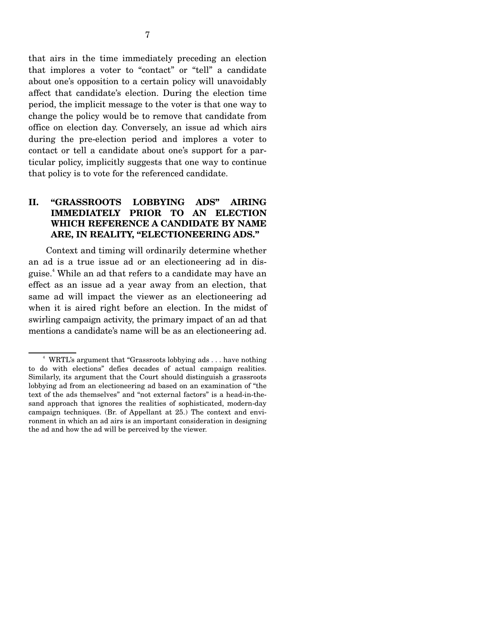that airs in the time immediately preceding an election that implores a voter to "contact" or "tell" a candidate about one's opposition to a certain policy will unavoidably affect that candidate's election. During the election time period, the implicit message to the voter is that one way to change the policy would be to remove that candidate from office on election day. Conversely, an issue ad which airs during the pre-election period and implores a voter to contact or tell a candidate about one's support for a particular policy, implicitly suggests that one way to continue that policy is to vote for the referenced candidate.

## **II. "GRASSROOTS LOBBYING ADS" AIRING IMMEDIATELY PRIOR TO AN ELECTION WHICH REFERENCE A CANDIDATE BY NAME ARE, IN REALITY, "ELECTIONEERING ADS."**

 Context and timing will ordinarily determine whether an ad is a true issue ad or an electioneering ad in disguise.4 While an ad that refers to a candidate may have an effect as an issue ad a year away from an election, that same ad will impact the viewer as an electioneering ad when it is aired right before an election. In the midst of swirling campaign activity, the primary impact of an ad that mentions a candidate's name will be as an electioneering ad.

<sup>&</sup>lt;sup>4</sup> WRTL's argument that "Grassroots lobbying ads . . . have nothing to do with elections" defies decades of actual campaign realities. Similarly, its argument that the Court should distinguish a grassroots lobbying ad from an electioneering ad based on an examination of "the text of the ads themselves" and "not external factors" is a head-in-thesand approach that ignores the realities of sophisticated, modern-day campaign techniques. (Br. of Appellant at 25.) The context and environment in which an ad airs is an important consideration in designing the ad and how the ad will be perceived by the viewer.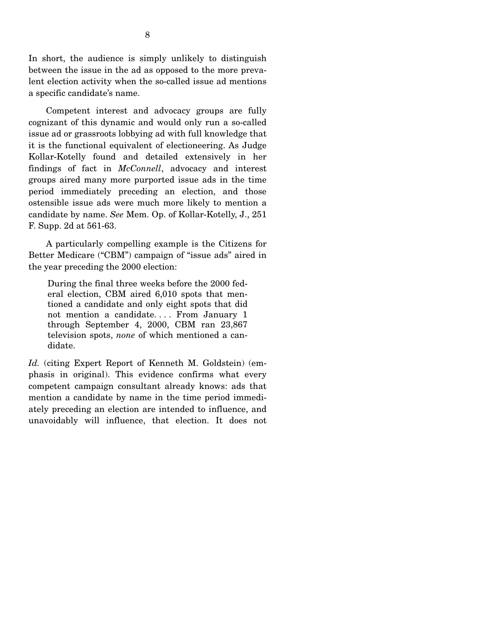In short, the audience is simply unlikely to distinguish between the issue in the ad as opposed to the more prevalent election activity when the so-called issue ad mentions a specific candidate's name.

 Competent interest and advocacy groups are fully cognizant of this dynamic and would only run a so-called issue ad or grassroots lobbying ad with full knowledge that it is the functional equivalent of electioneering. As Judge Kollar-Kotelly found and detailed extensively in her findings of fact in *McConnell*, advocacy and interest groups aired many more purported issue ads in the time period immediately preceding an election, and those ostensible issue ads were much more likely to mention a candidate by name. *See* Mem. Op. of Kollar-Kotelly, J., 251 F. Supp. 2d at 561-63.

 A particularly compelling example is the Citizens for Better Medicare ("CBM") campaign of "issue ads" aired in the year preceding the 2000 election:

During the final three weeks before the 2000 federal election, CBM aired 6,010 spots that mentioned a candidate and only eight spots that did not mention a candidate.... From January 1 through September 4, 2000, CBM ran 23,867 television spots, *none* of which mentioned a candidate.

*Id.* (citing Expert Report of Kenneth M. Goldstein) (emphasis in original). This evidence confirms what every competent campaign consultant already knows: ads that mention a candidate by name in the time period immediately preceding an election are intended to influence, and unavoidably will influence, that election. It does not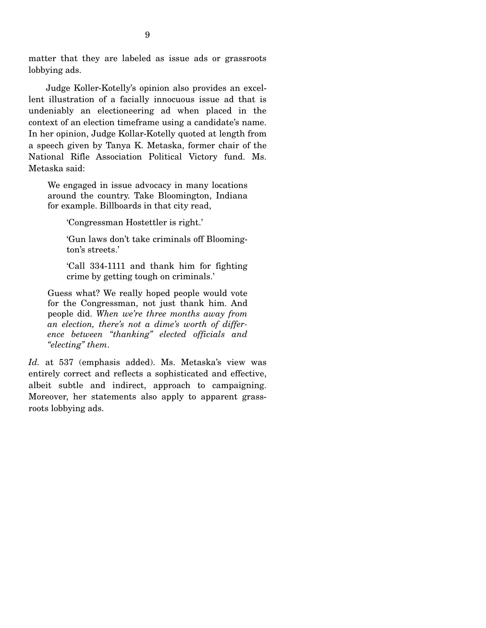matter that they are labeled as issue ads or grassroots lobbying ads.

 Judge Koller-Kotelly's opinion also provides an excellent illustration of a facially innocuous issue ad that is undeniably an electioneering ad when placed in the context of an election timeframe using a candidate's name. In her opinion, Judge Kollar-Kotelly quoted at length from a speech given by Tanya K. Metaska, former chair of the National Rifle Association Political Victory fund. Ms. Metaska said:

We engaged in issue advocacy in many locations around the country. Take Bloomington, Indiana for example. Billboards in that city read,

'Congressman Hostettler is right.'

'Gun laws don't take criminals off Bloomington's streets.'

'Call 334-1111 and thank him for fighting crime by getting tough on criminals.'

Guess what? We really hoped people would vote for the Congressman, not just thank him. And people did. *When we're three months away from an election, there's not a dime's worth of difference between "thanking" elected officials and "electing" them*.

*Id.* at 537 (emphasis added). Ms. Metaska's view was entirely correct and reflects a sophisticated and effective, albeit subtle and indirect, approach to campaigning. Moreover, her statements also apply to apparent grassroots lobbying ads.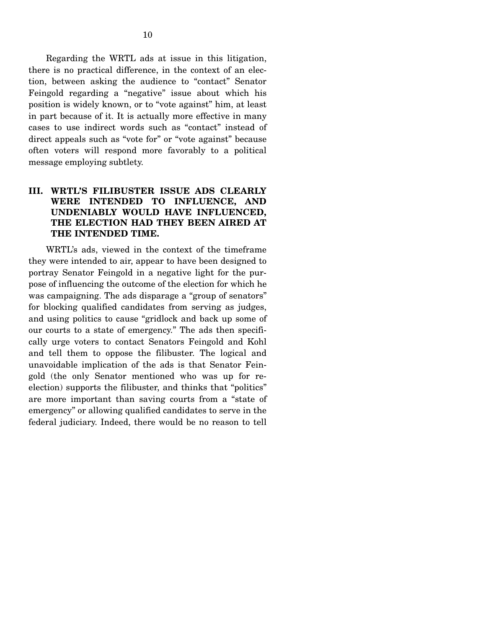Regarding the WRTL ads at issue in this litigation, there is no practical difference, in the context of an election, between asking the audience to "contact" Senator Feingold regarding a "negative" issue about which his position is widely known, or to "vote against" him, at least in part because of it. It is actually more effective in many cases to use indirect words such as "contact" instead of direct appeals such as "vote for" or "vote against" because often voters will respond more favorably to a political message employing subtlety.

#### **III. WRTL'S FILIBUSTER ISSUE ADS CLEARLY WERE INTENDED TO INFLUENCE, AND UNDENIABLY WOULD HAVE INFLUENCED, THE ELECTION HAD THEY BEEN AIRED AT THE INTENDED TIME.**

 WRTL's ads, viewed in the context of the timeframe they were intended to air, appear to have been designed to portray Senator Feingold in a negative light for the purpose of influencing the outcome of the election for which he was campaigning. The ads disparage a "group of senators" for blocking qualified candidates from serving as judges, and using politics to cause "gridlock and back up some of our courts to a state of emergency." The ads then specifically urge voters to contact Senators Feingold and Kohl and tell them to oppose the filibuster. The logical and unavoidable implication of the ads is that Senator Feingold (the only Senator mentioned who was up for reelection) supports the filibuster, and thinks that "politics" are more important than saving courts from a "state of emergency" or allowing qualified candidates to serve in the federal judiciary. Indeed, there would be no reason to tell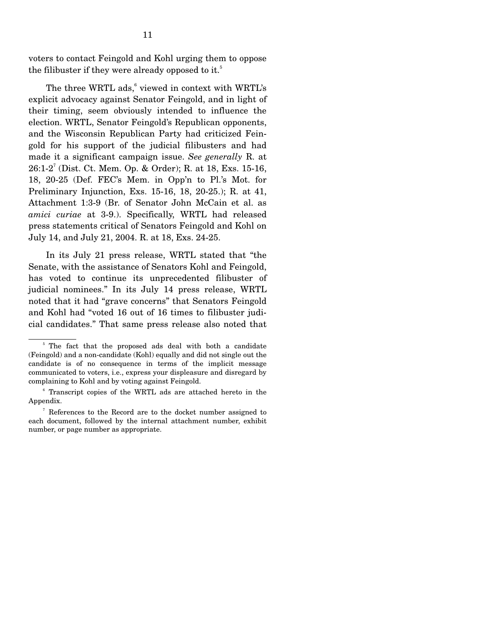voters to contact Feingold and Kohl urging them to oppose the filibuster if they were already opposed to it.<sup>5</sup>

The three WRTL  $ads<sup>6</sup>$  viewed in context with WRTL's explicit advocacy against Senator Feingold, and in light of their timing, seem obviously intended to influence the election. WRTL, Senator Feingold's Republican opponents, and the Wisconsin Republican Party had criticized Feingold for his support of the judicial filibusters and had made it a significant campaign issue. *See generally* R. at 26:1-2<sup>7</sup> (Dist. Ct. Mem. Op. & Order); R. at 18, Exs. 15-16, 18, 20-25 (Def. FEC's Mem. in Opp'n to Pl.'s Mot. for Preliminary Injunction, Exs. 15-16, 18, 20-25.); R. at 41, Attachment 1:3-9 (Br. of Senator John McCain et al. as *amici curiae* at 3-9.). Specifically, WRTL had released press statements critical of Senators Feingold and Kohl on July 14, and July 21, 2004. R. at 18, Exs. 24-25.

 In its July 21 press release, WRTL stated that "the Senate, with the assistance of Senators Kohl and Feingold, has voted to continue its unprecedented filibuster of judicial nominees." In its July 14 press release, WRTL noted that it had "grave concerns" that Senators Feingold and Kohl had "voted 16 out of 16 times to filibuster judicial candidates." That same press release also noted that

<sup>&</sup>lt;sup>5</sup> The fact that the proposed ads deal with both a candidate (Feingold) and a non-candidate (Kohl) equally and did not single out the candidate is of no consequence in terms of the implicit message communicated to voters, i.e., express your displeasure and disregard by complaining to Kohl and by voting against Feingold.

<sup>&</sup>lt;sup>6</sup> Transcript copies of the WRTL ads are attached hereto in the Appendix.

<sup>&</sup>lt;sup>7</sup> References to the Record are to the docket number assigned to each document, followed by the internal attachment number, exhibit number, or page number as appropriate.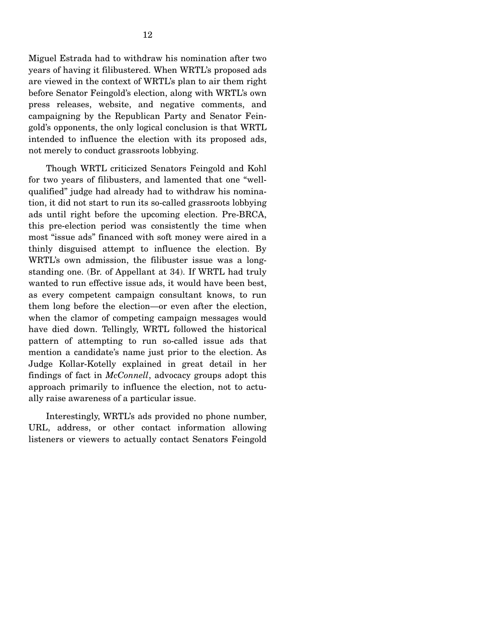Miguel Estrada had to withdraw his nomination after two years of having it filibustered. When WRTL's proposed ads are viewed in the context of WRTL's plan to air them right before Senator Feingold's election, along with WRTL's own press releases, website, and negative comments, and campaigning by the Republican Party and Senator Feingold's opponents, the only logical conclusion is that WRTL intended to influence the election with its proposed ads, not merely to conduct grassroots lobbying.

 Though WRTL criticized Senators Feingold and Kohl for two years of filibusters, and lamented that one "wellqualified" judge had already had to withdraw his nomination, it did not start to run its so-called grassroots lobbying ads until right before the upcoming election. Pre-BRCA, this pre-election period was consistently the time when most "issue ads" financed with soft money were aired in a thinly disguised attempt to influence the election. By WRTL's own admission, the filibuster issue was a longstanding one. (Br. of Appellant at 34). If WRTL had truly wanted to run effective issue ads, it would have been best, as every competent campaign consultant knows, to run them long before the election—or even after the election, when the clamor of competing campaign messages would have died down. Tellingly, WRTL followed the historical pattern of attempting to run so-called issue ads that mention a candidate's name just prior to the election. As Judge Kollar-Kotelly explained in great detail in her findings of fact in *McConnell*, advocacy groups adopt this approach primarily to influence the election, not to actually raise awareness of a particular issue.

 Interestingly, WRTL's ads provided no phone number, URL, address, or other contact information allowing listeners or viewers to actually contact Senators Feingold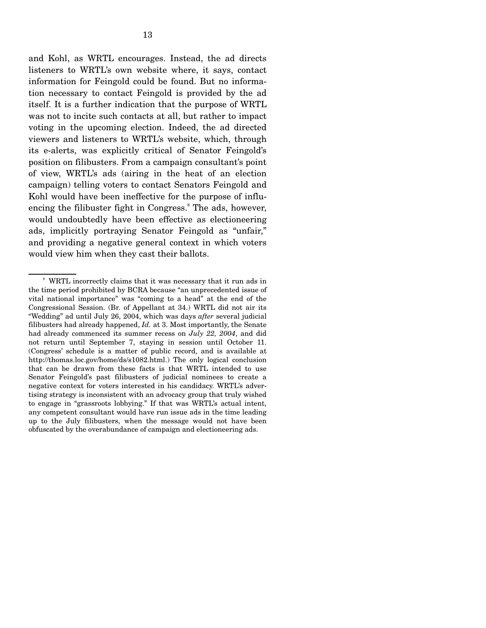and Kohl, as WRTL encourages. Instead, the ad directs listeners to WRTL's own website where, it says, contact information for Feingold could be found. But no information necessary to contact Feingold is provided by the ad itself. It is a further indication that the purpose of WRTL was not to incite such contacts at all, but rather to impact voting in the upcoming election. Indeed, the ad directed viewers and listeners to WRTL's website, which, through its e-alerts, was explicitly critical of Senator Feingold's position on filibusters. From a campaign consultant's point of view, WRTL's ads (airing in the heat of an election campaign) telling voters to contact Senators Feingold and Kohl would have been ineffective for the purpose of influencing the filibuster fight in Congress.<sup>8</sup> The ads, however, would undoubtedly have been effective as electioneering ads, implicitly portraying Senator Feingold as "unfair," and providing a negative general context in which voters would view him when they cast their ballots.

<sup>&</sup>lt;sup>8</sup> WRTL incorrectly claims that it was necessary that it run ads in the time period prohibited by BCRA because "an unprecedented issue of vital national importance" was "coming to a head" at the end of the Congressional Session. (Br. of Appellant at 34.) WRTL did not air its "Wedding" ad until July 26, 2004, which was days *after* several judicial filibusters had already happened, *Id.* at 3. Most importantly, the Senate had already commenced its summer recess on *July 22, 2004*, and did not return until September 7, staying in session until October 11. (Congress' schedule is a matter of public record, and is available at http://thomas.loc.gov/home/ds/s1082.html.) The only logical conclusion that can be drawn from these facts is that WRTL intended to use Senator Feingold's past filibusters of judicial nominees to create a negative context for voters interested in his candidacy. WRTL's advertising strategy is inconsistent with an advocacy group that truly wished to engage in "grassroots lobbying." If that was WRTL's actual intent, any competent consultant would have run issue ads in the time leading up to the July filibusters, when the message would not have been obfuscated by the overabundance of campaign and electioneering ads.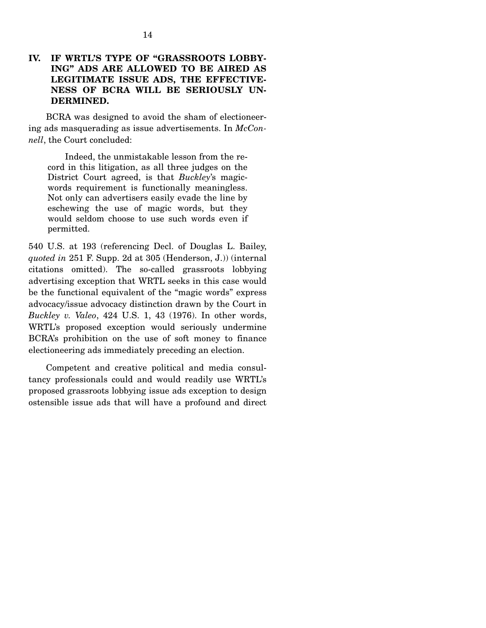#### **IV. IF WRTL'S TYPE OF "GRASSROOTS LOBBY-ING" ADS ARE ALLOWED TO BE AIRED AS LEGITIMATE ISSUE ADS, THE EFFECTIVE-NESS OF BCRA WILL BE SERIOUSLY UN-DERMINED.**

 BCRA was designed to avoid the sham of electioneering ads masquerading as issue advertisements. In *McConnell*, the Court concluded:

 Indeed, the unmistakable lesson from the record in this litigation, as all three judges on the District Court agreed, is that *Buckley*'s magicwords requirement is functionally meaningless. Not only can advertisers easily evade the line by eschewing the use of magic words, but they would seldom choose to use such words even if permitted.

540 U.S. at 193 (referencing Decl. of Douglas L. Bailey, *quoted in* 251 F. Supp. 2d at 305 (Henderson, J.)) (internal citations omitted). The so-called grassroots lobbying advertising exception that WRTL seeks in this case would be the functional equivalent of the "magic words" express advocacy/issue advocacy distinction drawn by the Court in *Buckley v. Valeo*, 424 U.S. 1, 43 (1976). In other words, WRTL's proposed exception would seriously undermine BCRA's prohibition on the use of soft money to finance electioneering ads immediately preceding an election.

 Competent and creative political and media consultancy professionals could and would readily use WRTL's proposed grassroots lobbying issue ads exception to design ostensible issue ads that will have a profound and direct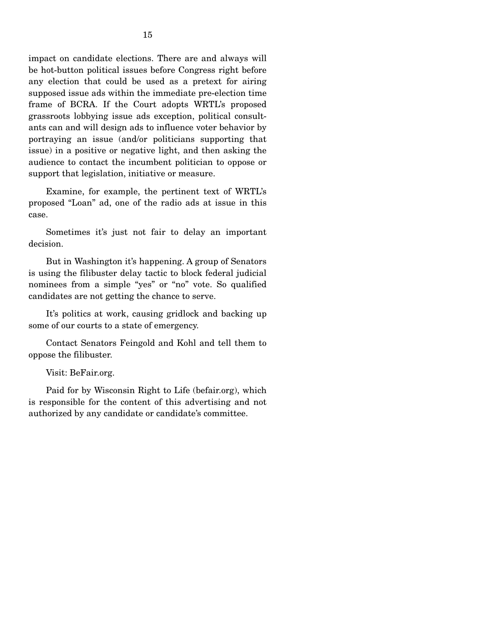impact on candidate elections. There are and always will be hot-button political issues before Congress right before any election that could be used as a pretext for airing supposed issue ads within the immediate pre-election time frame of BCRA. If the Court adopts WRTL's proposed grassroots lobbying issue ads exception, political consultants can and will design ads to influence voter behavior by portraying an issue (and/or politicians supporting that issue) in a positive or negative light, and then asking the audience to contact the incumbent politician to oppose or support that legislation, initiative or measure.

 Examine, for example, the pertinent text of WRTL's proposed "Loan" ad, one of the radio ads at issue in this case.

 Sometimes it's just not fair to delay an important decision.

 But in Washington it's happening. A group of Senators is using the filibuster delay tactic to block federal judicial nominees from a simple "yes" or "no" vote. So qualified candidates are not getting the chance to serve.

 It's politics at work, causing gridlock and backing up some of our courts to a state of emergency.

 Contact Senators Feingold and Kohl and tell them to oppose the filibuster.

Visit: BeFair.org.

 Paid for by Wisconsin Right to Life (befair.org), which is responsible for the content of this advertising and not authorized by any candidate or candidate's committee.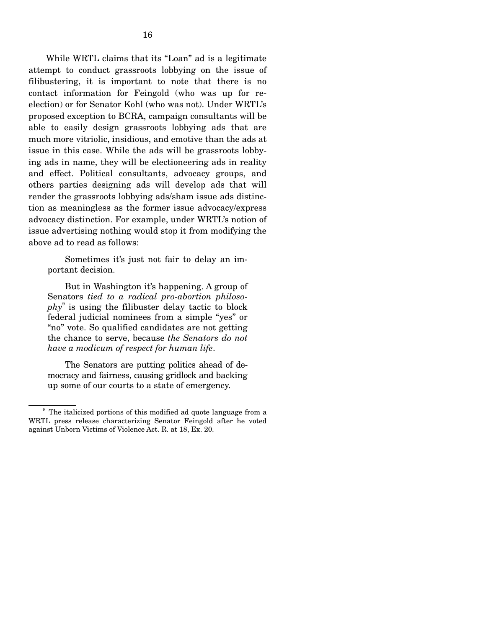While WRTL claims that its "Loan" ad is a legitimate attempt to conduct grassroots lobbying on the issue of filibustering, it is important to note that there is no contact information for Feingold (who was up for reelection) or for Senator Kohl (who was not). Under WRTL's proposed exception to BCRA, campaign consultants will be able to easily design grassroots lobbying ads that are much more vitriolic, insidious, and emotive than the ads at issue in this case. While the ads will be grassroots lobbying ads in name, they will be electioneering ads in reality and effect. Political consultants, advocacy groups, and others parties designing ads will develop ads that will render the grassroots lobbying ads/sham issue ads distinction as meaningless as the former issue advocacy/express advocacy distinction. For example, under WRTL's notion of issue advertising nothing would stop it from modifying the above ad to read as follows:

 Sometimes it's just not fair to delay an important decision.

 But in Washington it's happening. A group of Senators *tied to a radical pro-abortion philosophy*<sup>9</sup> is using the filibuster delay tactic to block federal judicial nominees from a simple "yes" or "no" vote. So qualified candidates are not getting the chance to serve, because *the Senators do not have a modicum of respect for human life*.

 The Senators are putting politics ahead of democracy and fairness, causing gridlock and backing up some of our courts to a state of emergency.

<sup>&</sup>lt;sup>9</sup> The italicized portions of this modified ad quote language from a WRTL press release characterizing Senator Feingold after he voted against Unborn Victims of Violence Act. R. at 18, Ex. 20.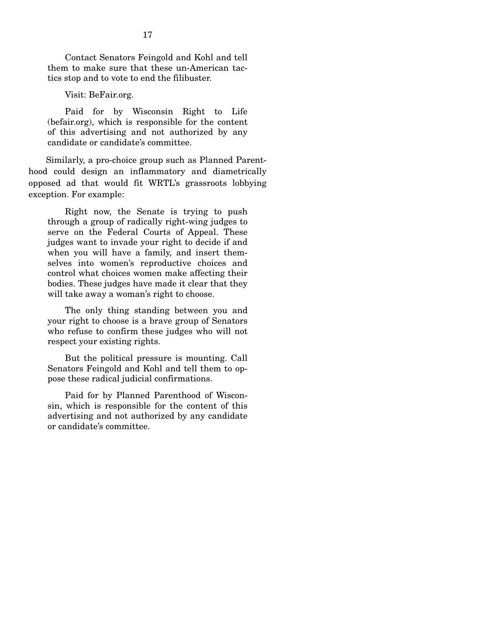Contact Senators Feingold and Kohl and tell them to make sure that these un-American tactics stop and to vote to end the filibuster.

Visit: BeFair.org.

 Paid for by Wisconsin Right to Life (befair.org), which is responsible for the content of this advertising and not authorized by any candidate or candidate's committee.

 Similarly, a pro-choice group such as Planned Parenthood could design an inflammatory and diametrically opposed ad that would fit WRTL's grassroots lobbying exception. For example:

 Right now, the Senate is trying to push through a group of radically right-wing judges to serve on the Federal Courts of Appeal. These judges want to invade your right to decide if and when you will have a family, and insert themselves into women's reproductive choices and control what choices women make affecting their bodies. These judges have made it clear that they will take away a woman's right to choose.

 The only thing standing between you and your right to choose is a brave group of Senators who refuse to confirm these judges who will not respect your existing rights.

 But the political pressure is mounting. Call Senators Feingold and Kohl and tell them to oppose these radical judicial confirmations.

 Paid for by Planned Parenthood of Wisconsin, which is responsible for the content of this advertising and not authorized by any candidate or candidate's committee.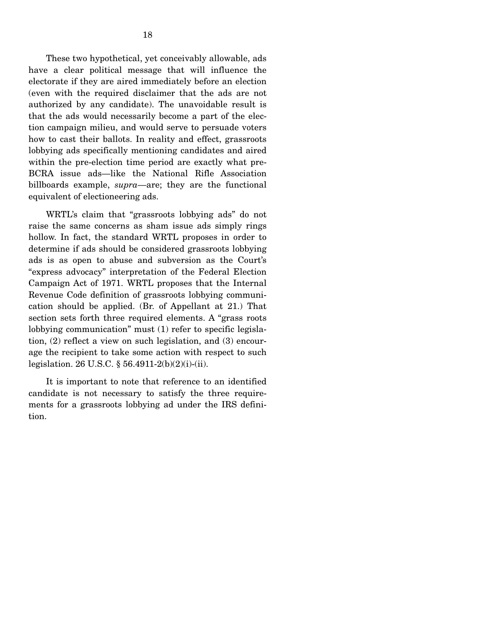These two hypothetical, yet conceivably allowable, ads have a clear political message that will influence the electorate if they are aired immediately before an election (even with the required disclaimer that the ads are not authorized by any candidate). The unavoidable result is that the ads would necessarily become a part of the election campaign milieu, and would serve to persuade voters how to cast their ballots. In reality and effect, grassroots lobbying ads specifically mentioning candidates and aired within the pre-election time period are exactly what pre-BCRA issue ads—like the National Rifle Association billboards example, *supra*—are; they are the functional equivalent of electioneering ads.

 WRTL's claim that "grassroots lobbying ads" do not raise the same concerns as sham issue ads simply rings hollow. In fact, the standard WRTL proposes in order to determine if ads should be considered grassroots lobbying ads is as open to abuse and subversion as the Court's "express advocacy" interpretation of the Federal Election Campaign Act of 1971. WRTL proposes that the Internal Revenue Code definition of grassroots lobbying communication should be applied. (Br. of Appellant at 21.) That section sets forth three required elements. A "grass roots lobbying communication" must (1) refer to specific legislation, (2) reflect a view on such legislation, and (3) encourage the recipient to take some action with respect to such legislation. 26 U.S.C. § 56.4911-2(b)(2)(i)-(ii).

 It is important to note that reference to an identified candidate is not necessary to satisfy the three requirements for a grassroots lobbying ad under the IRS definition.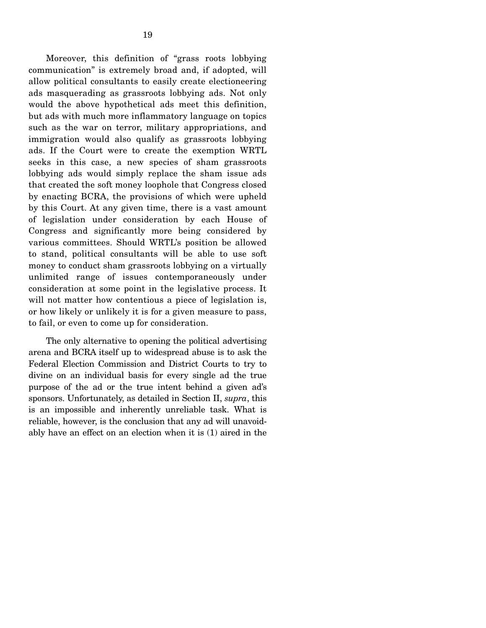Moreover, this definition of "grass roots lobbying communication" is extremely broad and, if adopted, will allow political consultants to easily create electioneering ads masquerading as grassroots lobbying ads. Not only would the above hypothetical ads meet this definition, but ads with much more inflammatory language on topics such as the war on terror, military appropriations, and immigration would also qualify as grassroots lobbying ads. If the Court were to create the exemption WRTL seeks in this case, a new species of sham grassroots lobbying ads would simply replace the sham issue ads that created the soft money loophole that Congress closed by enacting BCRA, the provisions of which were upheld by this Court. At any given time, there is a vast amount of legislation under consideration by each House of Congress and significantly more being considered by various committees. Should WRTL's position be allowed to stand, political consultants will be able to use soft money to conduct sham grassroots lobbying on a virtually unlimited range of issues contemporaneously under consideration at some point in the legislative process. It will not matter how contentious a piece of legislation is, or how likely or unlikely it is for a given measure to pass, to fail, or even to come up for consideration.

 The only alternative to opening the political advertising arena and BCRA itself up to widespread abuse is to ask the Federal Election Commission and District Courts to try to divine on an individual basis for every single ad the true purpose of the ad or the true intent behind a given ad's sponsors. Unfortunately, as detailed in Section II, *supra*, this is an impossible and inherently unreliable task. What is reliable, however, is the conclusion that any ad will unavoidably have an effect on an election when it is (1) aired in the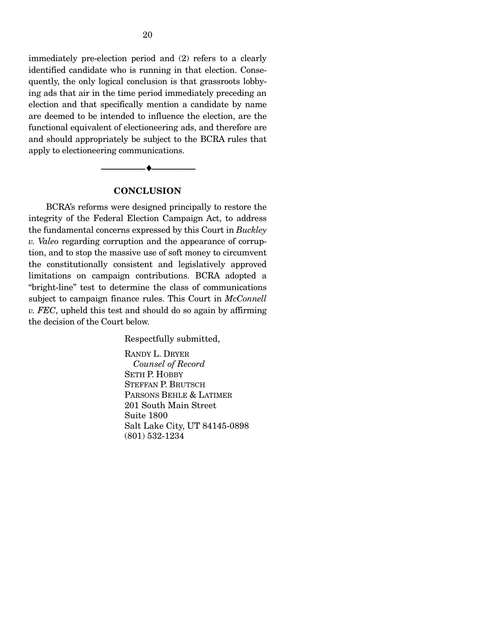immediately pre-election period and (2) refers to a clearly identified candidate who is running in that election. Consequently, the only logical conclusion is that grassroots lobbying ads that air in the time period immediately preceding an election and that specifically mention a candidate by name are deemed to be intended to influence the election, are the functional equivalent of electioneering ads, and therefore are and should appropriately be subject to the BCRA rules that apply to electioneering communications.

#### **CONCLUSION**

--------------------------------- ♦ ---------------------------------

 BCRA's reforms were designed principally to restore the integrity of the Federal Election Campaign Act, to address the fundamental concerns expressed by this Court in *Buckley v. Valeo* regarding corruption and the appearance of corruption, and to stop the massive use of soft money to circumvent the constitutionally consistent and legislatively approved limitations on campaign contributions. BCRA adopted a "bright-line" test to determine the class of communications subject to campaign finance rules. This Court in *McConnell v. FEC*, upheld this test and should do so again by affirming the decision of the Court below.

Respectfully submitted,

RANDY L. DRYER *Counsel of Record*  SETH P. HOBBY STEFFAN P. BRUTSCH PARSONS BEHLE & LATIMER 201 South Main Street Suite 1800 Salt Lake City, UT 84145-0898 (801) 532-1234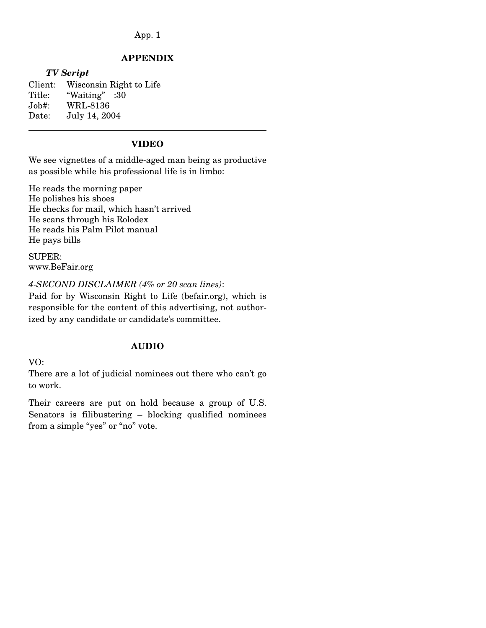#### App. 1

#### **APPENDIX**

#### *TV Script*

 $\overline{a}$ 

Client: Wisconsin Right to Life Title: "Waiting" :30 Job#: WRL-8136 Date: July 14, 2004

### **VIDEO**

We see vignettes of a middle-aged man being as productive as possible while his professional life is in limbo:

He reads the morning paper He polishes his shoes He checks for mail, which hasn't arrived He scans through his Rolodex He reads his Palm Pilot manual He pays bills

SUPER: www.BeFair.org

*4-SECOND DISCLAIMER (4% or 20 scan lines)*:

Paid for by Wisconsin Right to Life (befair.org), which is responsible for the content of this advertising, not authorized by any candidate or candidate's committee.

#### **AUDIO**

VO:

There are a lot of judicial nominees out there who can't go to work.

Their careers are put on hold because a group of U.S. Senators is filibustering – blocking qualified nominees from a simple "yes" or "no" vote.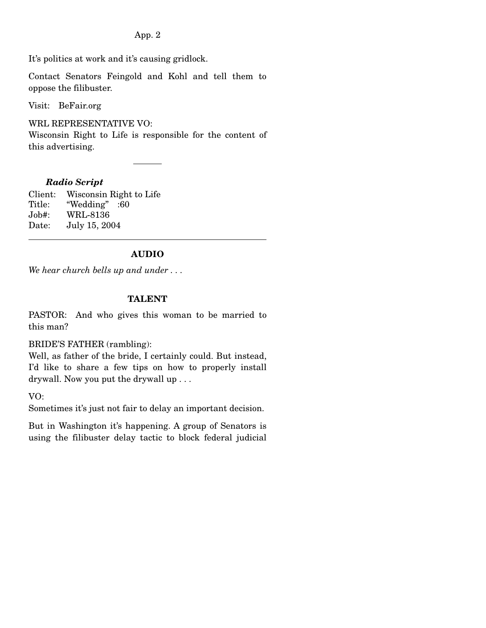App. 2

It's politics at work and it's causing gridlock.

Contact Senators Feingold and Kohl and tell them to oppose the filibuster.

Visit: BeFair.org

WRL REPRESENTATIVE VO:

Wisconsin Right to Life is responsible for the content of this advertising.

### *Radio Script*

Client: Wisconsin Right to Life Title: "Wedding" :60 Job#: WRL-8136 Date: July 15, 2004

### **AUDIO**

*We hear church bells up and under . . .* 

### **TALENT**

PASTOR: And who gives this woman to be married to this man?

BRIDE'S FATHER (rambling):

Well, as father of the bride, I certainly could. But instead, I'd like to share a few tips on how to properly install drywall. Now you put the drywall up . . .

VO:

 $\overline{a}$ 

Sometimes it's just not fair to delay an important decision.

But in Washington it's happening. A group of Senators is using the filibuster delay tactic to block federal judicial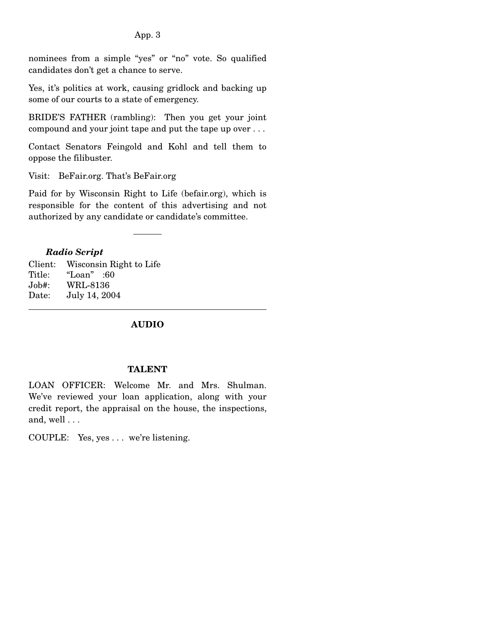#### App. 3

nominees from a simple "yes" or "no" vote. So qualified candidates don't get a chance to serve.

Yes, it's politics at work, causing gridlock and backing up some of our courts to a state of emergency.

BRIDE'S FATHER (rambling): Then you get your joint compound and your joint tape and put the tape up over . . .

Contact Senators Feingold and Kohl and tell them to oppose the filibuster.

Visit: BeFair.org. That's BeFair.org

Paid for by Wisconsin Right to Life (befair.org), which is responsible for the content of this advertising and not authorized by any candidate or candidate's committee.

#### *Radio Script*

 $\overline{a}$ 

Client: Wisconsin Right to Life Title: "Loan" :60 Job#: WRL-8136 Date: July 14, 2004

#### **AUDIO**

#### **TALENT**

LOAN OFFICER: Welcome Mr. and Mrs. Shulman. We've reviewed your loan application, along with your credit report, the appraisal on the house, the inspections, and, well . . .

COUPLE: Yes, yes . . . we're listening.